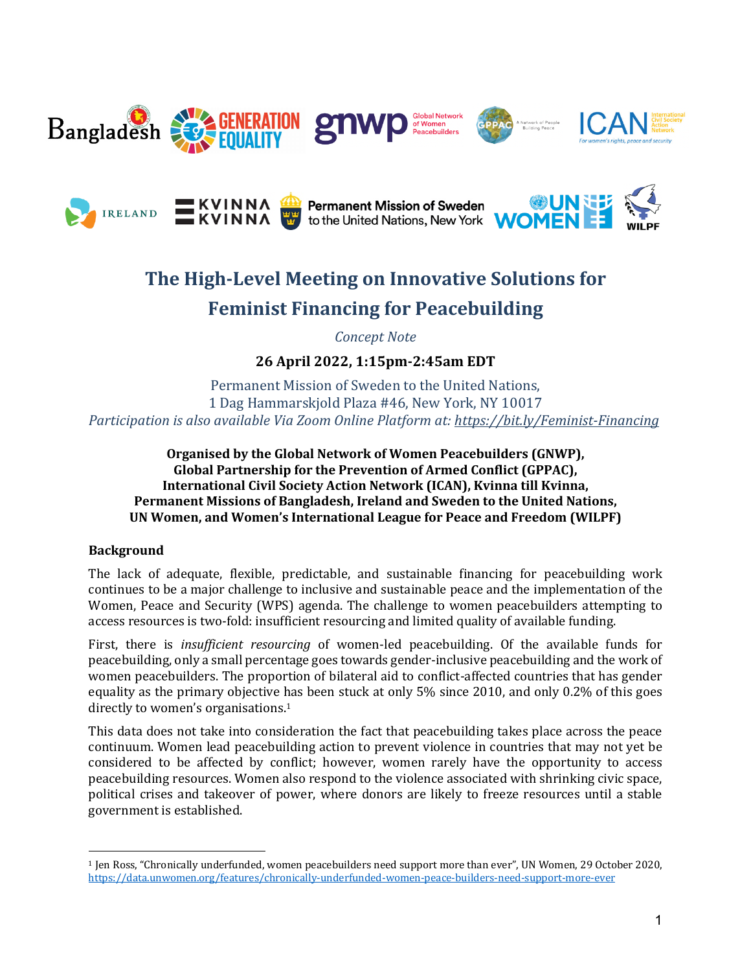







# **The High-Level Meeting on Innovative Solutions for Feminist Financing for Peacebuilding**

*Concept Note*

**26 April 2022, 1:15pm-2:45am EDT**

Permanent Mission of Sweden to the United Nations. 1 Dag Hammarskjold Plaza #46, New York, NY 10017 *Participation is also available Via Zoom Online Platform at: https://bit.ly/Feminist-Financing*

**Organised by the Global Network of Women Peacebuilders (GNWP),** Global Partnership for the Prevention of Armed Conflict (GPPAC), **International Civil Society Action Network (ICAN), Kvinna till Kvinna, Permanent Missions of Bangladesh, Ireland and Sweden to the United Nations, UN Women, and Women's International League for Peace and Freedom (WILPF)** 

## **Background**

The lack of adequate, flexible, predictable, and sustainable financing for peacebuilding work continues to be a major challenge to inclusive and sustainable peace and the implementation of the Women, Peace and Security (WPS) agenda. The challenge to women peacebuilders attempting to access resources is two-fold: insufficient resourcing and limited quality of available funding.

First, there is *insufficient resourcing* of women-led peacebuilding. Of the available funds for peacebuilding, only a small percentage goes towards gender-inclusive peacebuilding and the work of women peacebuilders. The proportion of bilateral aid to conflict-affected countries that has gender equality as the primary objective has been stuck at only  $5\%$  since 2010, and only 0.2% of this goes directly to women's organisations.<sup>1</sup>

This data does not take into consideration the fact that peacebuilding takes place across the peace continuum. Women lead peacebuilding action to prevent violence in countries that may not yet be considered to be affected by conflict; however, women rarely have the opportunity to access peacebuilding resources. Women also respond to the violence associated with shrinking civic space, political crises and takeover of power, where donors are likely to freeze resources until a stable government is established.

<sup>&</sup>lt;sup>1</sup> Jen Ross, "Chronically underfunded, women peacebuilders need support more than ever", UN Women, 29 October 2020, https://data.unwomen.org/features/chronically-underfunded-women-peace-builders-need-support-more-ever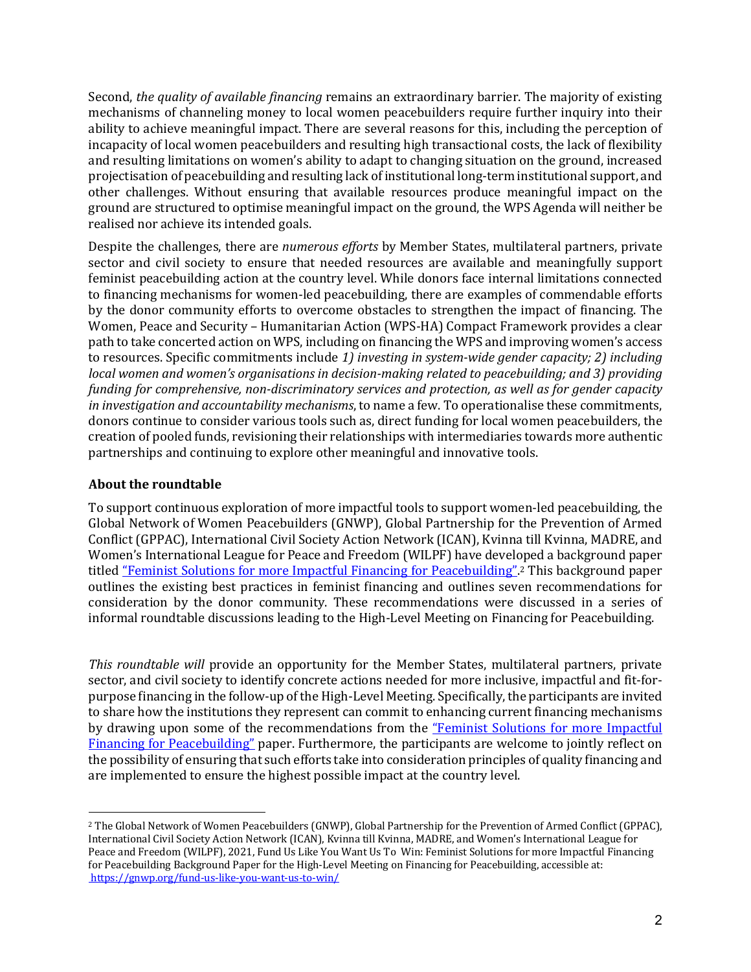Second, *the quality of available financing* remains an extraordinary barrier. The majority of existing mechanisms of channeling money to local women peacebuilders require further inquiry into their ability to achieve meaningful impact. There are several reasons for this, including the perception of incapacity of local women peacebuilders and resulting high transactional costs, the lack of flexibility and resulting limitations on women's ability to adapt to changing situation on the ground, increased projectisation of peacebuilding and resulting lack of institutional long-term institutional support, and other challenges. Without ensuring that available resources produce meaningful impact on the ground are structured to optimise meaningful impact on the ground, the WPS Agenda will neither be realised nor achieve its intended goals.

Despite the challenges, there are *numerous efforts* by Member States, multilateral partners, private sector and civil society to ensure that needed resources are available and meaningfully support feminist peacebuilding action at the country level. While donors face internal limitations connected to financing mechanisms for women-led peacebuilding, there are examples of commendable efforts by the donor community efforts to overcome obstacles to strengthen the impact of financing. The Women, Peace and Security - Humanitarian Action (WPS-HA) Compact Framework provides a clear path to take concerted action on WPS, including on financing the WPS and improving women's access to resources. Specific commitments include 1) investing in system-wide gender capacity; 2) including *local* women and women's organisations in decision-making related to peacebuilding; and 3) providing *funding for comprehensive, non-discriminatory services and protection, as well as for gender capacity in* investigation and accountability mechanisms, to name a few. To operationalise these commitments, donors continue to consider various tools such as, direct funding for local women peacebuilders, the creation of pooled funds, revisioning their relationships with intermediaries towards more authentic partnerships and continuing to explore other meaningful and innovative tools.

#### **About the roundtable**

To support continuous exploration of more impactful tools to support women-led peacebuilding, the Global Network of Women Peacebuilders (GNWP), Global Partnership for the Prevention of Armed Conflict (GPPAC), International Civil Society Action Network (ICAN), Kvinna till Kvinna, MADRE, and Women's International League for Peace and Freedom (WILPF) have developed a background paper titled "Feminist Solutions for more Impactful Financing for Peacebuilding".<sup>2</sup> This background paper outlines the existing best practices in feminist financing and outlines seven recommendations for consideration by the donor community. These recommendations were discussed in a series of informal roundtable discussions leading to the High-Level Meeting on Financing for Peacebuilding.

*This roundtable will* provide an opportunity for the Member States, multilateral partners, private sector, and civil society to identify concrete actions needed for more inclusive, impactful and fit-forpurpose financing in the follow-up of the High-Level Meeting. Specifically, the participants are invited to share how the institutions they represent can commit to enhancing current financing mechanisms by drawing upon some of the recommendations from the "Feminist Solutions for more Impactful Financing for Peacebuilding" paper. Furthermore, the participants are welcome to jointly reflect on the possibility of ensuring that such efforts take into consideration principles of quality financing and are implemented to ensure the highest possible impact at the country level.

<sup>&</sup>lt;sup>2</sup> The Global Network of Women Peacebuilders (GNWP), Global Partnership for the Prevention of Armed Conflict (GPPAC), International Civil Society Action Network (ICAN), Kvinna till Kvinna, MADRE, and Women's International League for Peace and Freedom (WILPF), 2021, Fund Us Like You Want Us To Win: Feminist Solutions for more Impactful Financing for Peacebuilding Background Paper for the High-Level Meeting on Financing for Peacebuilding, accessible at: https://gnwp.org/fund-us-like-you-want-us-to-win/